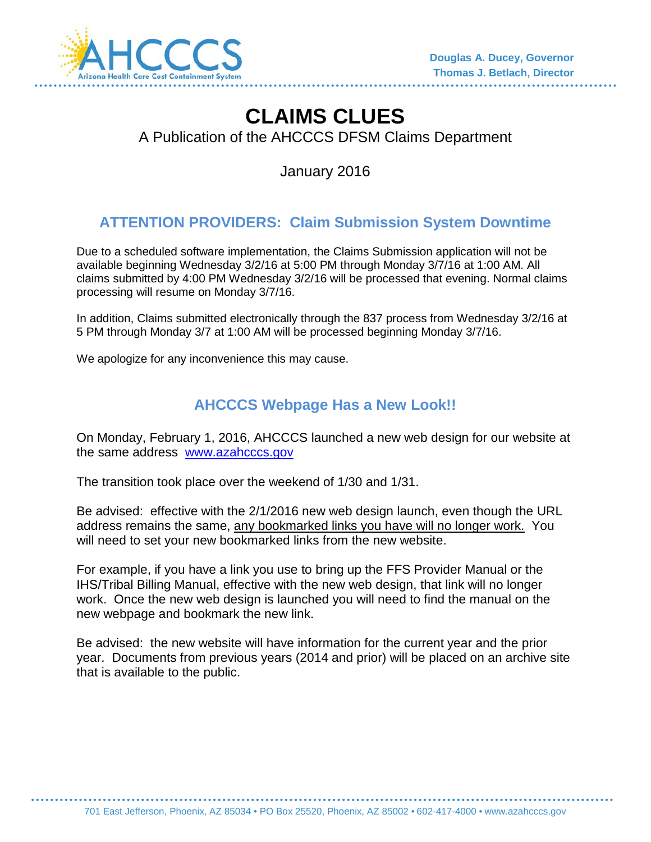

# **CLAIMS CLUES**

A Publication of the AHCCCS DFSM Claims Department

January 2016

# **ATTENTION PROVIDERS: Claim Submission System Downtime**

Due to a scheduled software implementation, the Claims Submission application will not be available beginning Wednesday 3/2/16 at 5:00 PM through Monday 3/7/16 at 1:00 AM. All claims submitted by 4:00 PM Wednesday 3/2/16 will be processed that evening. Normal claims processing will resume on Monday 3/7/16.

In addition, Claims submitted electronically through the 837 process from Wednesday 3/2/16 at 5 PM through Monday 3/7 at 1:00 AM will be processed beginning Monday 3/7/16.

We apologize for any inconvenience this may cause.

# **AHCCCS Webpage Has a New Look!!**

On Monday, February 1, 2016, AHCCCS launched a new web design for our website at the same address [www.azahcccs.gov](http://www.azahcccs.gov/)

The transition took place over the weekend of 1/30 and 1/31.

Be advised: effective with the 2/1/2016 new web design launch, even though the URL address remains the same, any bookmarked links you have will no longer work. You will need to set your new bookmarked links from the new website.

For example, if you have a link you use to bring up the FFS Provider Manual or the IHS/Tribal Billing Manual, effective with the new web design, that link will no longer work. Once the new web design is launched you will need to find the manual on the new webpage and bookmark the new link.

Be advised: the new website will have information for the current year and the prior year. Documents from previous years (2014 and prior) will be placed on an archive site that is available to the public.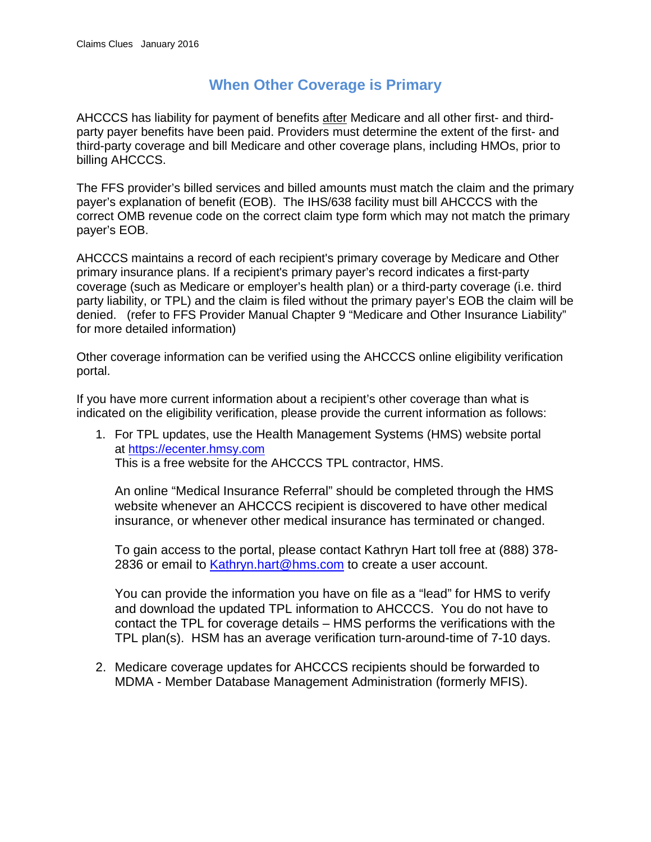#### **When Other Coverage is Primary**

AHCCCS has liability for payment of benefits after Medicare and all other first- and thirdparty payer benefits have been paid. Providers must determine the extent of the first- and third-party coverage and bill Medicare and other coverage plans, including HMOs, prior to billing AHCCCS.

The FFS provider's billed services and billed amounts must match the claim and the primary payer's explanation of benefit (EOB). The IHS/638 facility must bill AHCCCS with the correct OMB revenue code on the correct claim type form which may not match the primary payer's EOB.

AHCCCS maintains a record of each recipient's primary coverage by Medicare and Other primary insurance plans. If a recipient's primary payer's record indicates a first-party coverage (such as Medicare or employer's health plan) or a third-party coverage (i.e. third party liability, or TPL) and the claim is filed without the primary payer's EOB the claim will be denied. (refer to FFS Provider Manual Chapter 9 "Medicare and Other Insurance Liability" for more detailed information)

Other coverage information can be verified using the AHCCCS online eligibility verification portal.

If you have more current information about a recipient's other coverage than what is indicated on the eligibility verification, please provide the current information as follows:

1. For TPL updates, use the Health Management Systems (HMS) website portal at [https://ecenter.hmsy.com](https://ecenter.hmsy.com/) This is a free website for the AHCCCS TPL contractor, HMS.

An online "Medical Insurance Referral" should be completed through the HMS website whenever an AHCCCS recipient is discovered to have other medical insurance, or whenever other medical insurance has terminated or changed.

To gain access to the portal, please contact Kathryn Hart toll free at (888) 378- 2836 or email to [Kathryn.hart@hms.com](mailto:Kathryn.hart@hms.com) to create a user account.

You can provide the information you have on file as a "lead" for HMS to verify and download the updated TPL information to AHCCCS. You do not have to contact the TPL for coverage details – HMS performs the verifications with the TPL plan(s). HSM has an average verification turn-around-time of 7-10 days.

2. Medicare coverage updates for AHCCCS recipients should be forwarded to MDMA - Member Database Management Administration (formerly MFIS).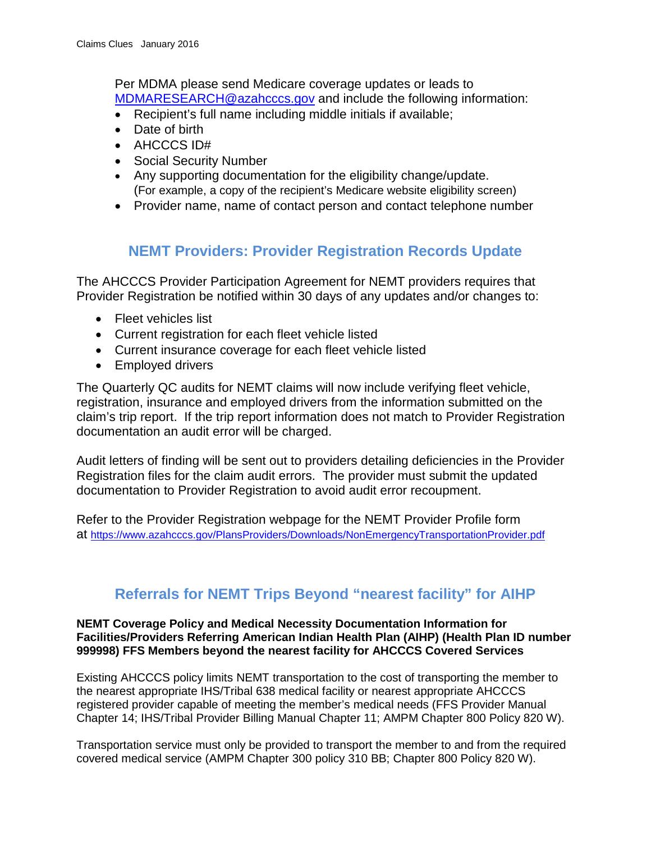Per MDMA please send Medicare coverage updates or leads to [MDMARESEARCH@azahcccs.gov](mailto:MDMARESEARCH@azahcccs.gov) and include the following information:

- Recipient's full name including middle initials if available;
- Date of birth
- AHCCCS ID#
- Social Security Number
- Any supporting documentation for the eligibility change/update. (For example, a copy of the recipient's Medicare website eligibility screen)
- Provider name, name of contact person and contact telephone number

### **NEMT Providers: Provider Registration Records Update**

The AHCCCS Provider Participation Agreement for NEMT providers requires that Provider Registration be notified within 30 days of any updates and/or changes to:

- Fleet vehicles list
- Current registration for each fleet vehicle listed
- Current insurance coverage for each fleet vehicle listed
- Employed drivers

The Quarterly QC audits for NEMT claims will now include verifying fleet vehicle, registration, insurance and employed drivers from the information submitted on the claim's trip report. If the trip report information does not match to Provider Registration documentation an audit error will be charged.

Audit letters of finding will be sent out to providers detailing deficiencies in the Provider Registration files for the claim audit errors. The provider must submit the updated documentation to Provider Registration to avoid audit error recoupment.

Refer to the Provider Registration webpage for the NEMT Provider Profile form at<https://www.azahcccs.gov/PlansProviders/Downloads/NonEmergencyTransportationProvider.pdf>

# **Referrals for NEMT Trips Beyond "nearest facility" for AIHP**

#### **NEMT Coverage Policy and Medical Necessity Documentation Information for Facilities/Providers Referring American Indian Health Plan (AIHP) (Health Plan ID number 999998) FFS Members beyond the nearest facility for AHCCCS Covered Services**

Existing AHCCCS policy limits NEMT transportation to the cost of transporting the member to the nearest appropriate IHS/Tribal 638 medical facility or nearest appropriate AHCCCS registered provider capable of meeting the member's medical needs (FFS Provider Manual Chapter 14; IHS/Tribal Provider Billing Manual Chapter 11; AMPM Chapter 800 Policy 820 W).

Transportation service must only be provided to transport the member to and from the required covered medical service (AMPM Chapter 300 policy 310 BB; Chapter 800 Policy 820 W).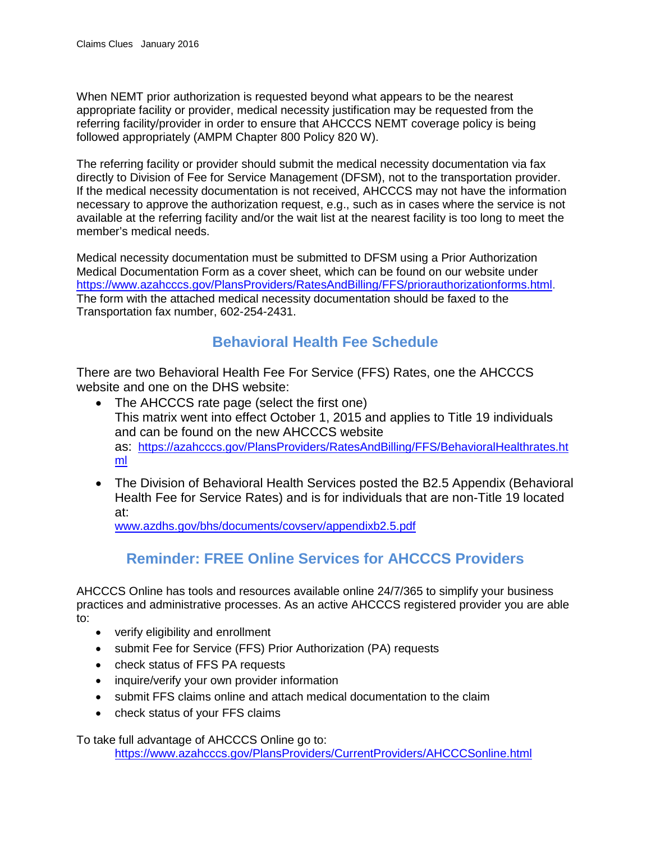When NEMT prior authorization is requested beyond what appears to be the nearest appropriate facility or provider, medical necessity justification may be requested from the referring facility/provider in order to ensure that AHCCCS NEMT coverage policy is being followed appropriately (AMPM Chapter 800 Policy 820 W).

The referring facility or provider should submit the medical necessity documentation via fax directly to Division of Fee for Service Management (DFSM), not to the transportation provider. If the medical necessity documentation is not received, AHCCCS may not have the information necessary to approve the authorization request, e.g., such as in cases where the service is not available at the referring facility and/or the wait list at the nearest facility is too long to meet the member's medical needs.

Medical necessity documentation must be submitted to DFSM using a Prior Authorization Medical Documentation Form as a cover sheet, which can be found on our website under [https://www.azahcccs.gov/PlansProviders/RatesAndBilling/FFS/priorauthorizationforms.html.](https://www.azahcccs.gov/PlansProviders/RatesAndBilling/FFS/priorauthorizationforms.html) The form with the attached medical necessity documentation should be faxed to the Transportation fax number, 602-254-2431.

### **Behavioral Health Fee Schedule**

There are two Behavioral Health Fee For Service (FFS) Rates, one the AHCCCS website and one on the DHS website:

- The AHCCCS rate page (select the first one) This matrix went into effect October 1, 2015 and applies to Title 19 individuals and can be found on the new AHCCCS website as: [https://azahcccs.gov/PlansProviders/RatesAndBilling/FFS/BehavioralHealthrates.ht](https://azahcccs.gov/PlansProviders/RatesAndBilling/FFS/BehavioralHealthrates.html) [ml](https://azahcccs.gov/PlansProviders/RatesAndBilling/FFS/BehavioralHealthrates.html)
- The Division of Behavioral Health Services posted the B2.5 Appendix (Behavioral Health Fee for Service Rates) and is for individuals that are non-Title 19 located at:

[www.azdhs.gov/bhs/documents/covserv/appendixb2.5.pdf](http://www.azdhs.gov/bhs/documents/covserv/appendixb2.5.pdf)

### **Reminder: FREE Online Services for AHCCCS Providers**

AHCCCS Online has tools and resources available online 24/7/365 to simplify your business practices and administrative processes. As an active AHCCCS registered provider you are able to:

- verify eligibility and enrollment
- submit Fee for Service (FFS) Prior Authorization (PA) requests
- check status of FFS PA requests
- inquire/verify your own provider information
- submit FFS claims online and attach medical documentation to the claim
- check status of your FFS claims

To take full advantage of AHCCCS Online go to:

<https://www.azahcccs.gov/PlansProviders/CurrentProviders/AHCCCSonline.html>